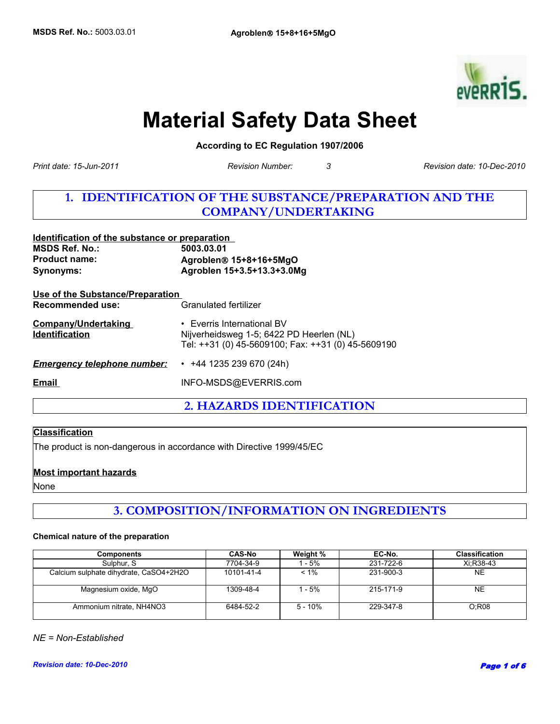

# **Material Safety Data Sheet**

**According to EC Regulation 1907/2006** 

**Revision Number:** 

*Print date: 15-Jun-2011 Revision date: 10-Dec-2010*

# **1. IDENTIFICATION OF THE SUBSTANCE/PREPARATION AND THE COMPANY/UNDERTAKING**

| Identification of the substance or preparation<br><b>MSDS Ref. No.:</b><br><b>Product name:</b> | 5003.03.01<br>Agroblen <sup>®</sup> 15+8+16+5MgO<br>Agroblen 15+3.5+13.3+3.0Mg                                                     |  |
|-------------------------------------------------------------------------------------------------|------------------------------------------------------------------------------------------------------------------------------------|--|
| Synonyms:                                                                                       |                                                                                                                                    |  |
| <u>Use of the Substance/Preparation</u><br>Recommended use:                                     | Granulated fertilizer                                                                                                              |  |
| <b>Company/Undertaking</b><br><b>Identification</b>                                             | $\cdot$ Everris International BV<br>Nijverheidsweg 1-5; 6422 PD Heerlen (NL)<br>Tel: ++31 (0) 45-5609100; Fax: ++31 (0) 45-5609190 |  |
| <b>Emergency telephone number:</b>                                                              | $\cdot$ +44 1235 239 670 (24h)                                                                                                     |  |
| Email                                                                                           | INFO-MSDS@EVERRIS.com                                                                                                              |  |
|                                                                                                 |                                                                                                                                    |  |

**2. HAZARDS IDENTIFICATION**

## **Classification**

The product is non-dangerous in accordance with Directive 1999/45/EC

#### **Most important hazards**

None

# **3. COMPOSITION/INFORMATION ON INGREDIENTS**

#### **Chemical nature of the preparation**

| <b>Components</b>                      | <b>CAS-No</b> | Weight %  | EC-No.    | <b>Classification</b> |
|----------------------------------------|---------------|-----------|-----------|-----------------------|
| Sulphur, S                             | 7704-34-9     | - 5%      | 231-722-6 | Xi:R38-43             |
| Calcium sulphate dihydrate, CaSO4+2H2O | 10101-41-4    | $< 1\%$   | 231-900-3 | NE                    |
| Magnesium oxide, MgO                   | 1309-48-4     | - 5%      | 215-171-9 | NE                    |
| Ammonium nitrate, NH4NO3               | 6484-52-2     | $5 - 10%$ | 229-347-8 | O:R08                 |

*NE = Non-Established*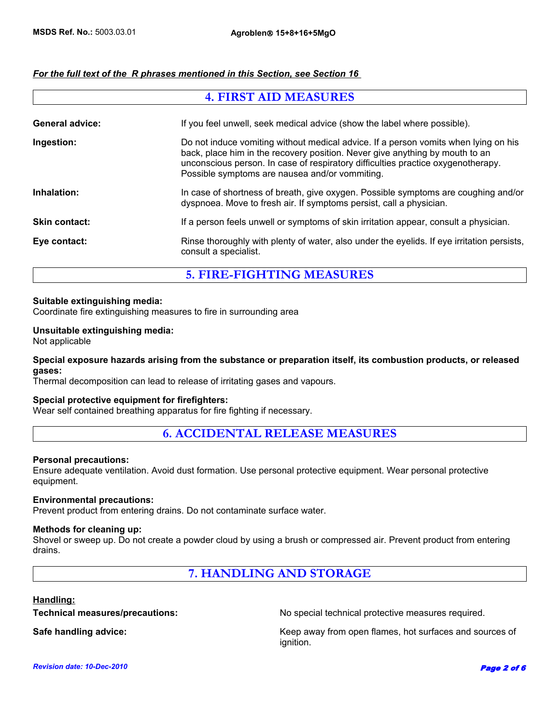## *For the full text of the R phrases mentioned in this Section, see Section 16*

| <b>4. FIRST AID MEASURES</b>                                                                                                                                                                                                                                                                              |  |  |
|-----------------------------------------------------------------------------------------------------------------------------------------------------------------------------------------------------------------------------------------------------------------------------------------------------------|--|--|
| If you feel unwell, seek medical advice (show the label where possible).                                                                                                                                                                                                                                  |  |  |
| Do not induce vomiting without medical advice. If a person vomits when lying on his<br>back, place him in the recovery position. Never give anything by mouth to an<br>unconscious person. In case of respiratory difficulties practice oxygenotherapy.<br>Possible symptoms are nausea and/or vommiting. |  |  |
| In case of shortness of breath, give oxygen. Possible symptoms are coughing and/or<br>dyspnoea. Move to fresh air. If symptoms persist, call a physician.                                                                                                                                                 |  |  |
| If a person feels unwell or symptoms of skin irritation appear, consult a physician.                                                                                                                                                                                                                      |  |  |
| Rinse thoroughly with plenty of water, also under the eyelids. If eye irritation persists,<br>consult a specialist.                                                                                                                                                                                       |  |  |
|                                                                                                                                                                                                                                                                                                           |  |  |

**5. FIRE-FIGHTING MEASURES**

#### **Suitable extinguishing media:**

Coordinate fire extinguishing measures to fire in surrounding area

#### **Unsuitable extinguishing media:**

Not applicable

## **Special exposure hazards arising from the substance or preparation itself, its combustion products, or released gases:**

Thermal decomposition can lead to release of irritating gases and vapours.

#### **Special protective equipment for firefighters:**

Wear self contained breathing apparatus for fire fighting if necessary.

## **6. ACCIDENTAL RELEASE MEASURES**

#### **Personal precautions:**

Ensure adequate ventilation. Avoid dust formation. Use personal protective equipment. Wear personal protective equipment.

## **Environmental precautions:**

Prevent product from entering drains. Do not contaminate surface water.

#### **Methods for cleaning up:**

Shovel or sweep up. Do not create a powder cloud by using a brush or compressed air. Prevent product from entering drains.

**7. HANDLING AND STORAGE**

#### **Handling:**

**Technical measures/precautions:** No special technical protective measures required.

**Safe handling advice:** Network Manuson Safe handling advice: Keep away from open flames, hot surfaces and sources of ignition.

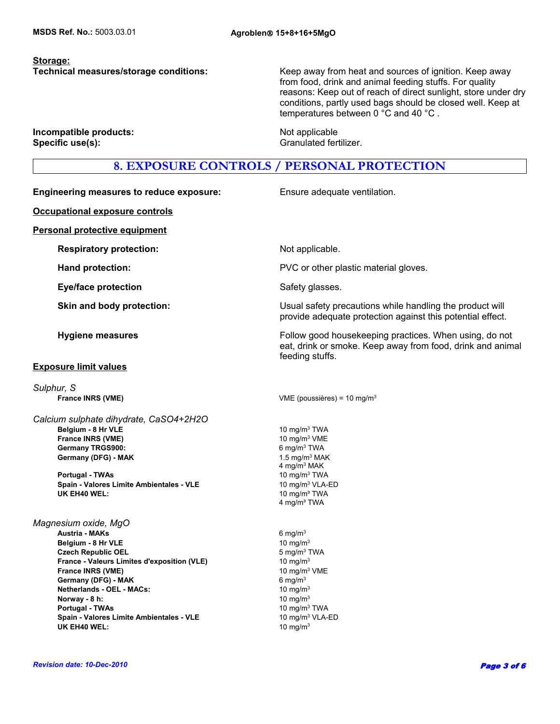**Storage:**

**Technical measures/storage conditions:** Keep away from heat and sources of ignition. Keep away from food, drink and animal feeding stuffs. For quality reasons: Keep out of reach of direct sunlight, store under dry conditions, partly used bags should be closed well. Keep at temperatures between 0 °C and 40 °C .

**Incompatible products:** Not applicable incompatible products: **Specific use(s):** Granulated fertilizer.

## **8. EXPOSURE CONTROLS / PERSONAL PROTECTION**

**Engineering measures to reduce exposure:** Ensure adequate ventilation. **Occupational exposure controls Personal protective equipment Respiratory protection:** Not applicable. **Hand protection: EXECUTE:** PVC or other plastic material gloves. **Eye/face protection** Safety glasses. **Skin and body protection:** Usual safety precautions while handling the product will provide adequate protection against this potential effect. **Hygiene measures Follow good housekeeping practices. When using, do not all proportional controller in Follow good housekeeping practices. When using, do not** eat, drink or smoke. Keep away from food, drink and animal feeding stuffs. **Exposure limit values Austria - MAKs** 6 mg/m3 **France INRS (VME)** 10 mg/m<sup>3</sup> VME **Belgium - 8 Hr VLE** 10 mg/m<sup>3</sup> **France INRS (VME) France INRS (VME) VME** (poussières) = 10 mg/m<sup>3</sup>  **Czech Republic OEL** 5 mg/m3 TWA **France - Valeurs Limites d'exposition (VLE)** 10 mg/m<sup>3</sup><br> **France INRS (VME)** 10 mg/m<sup>3</sup> VME Germany TRGS900: **6 mg/m<sup>3</sup> TWA France INRS (VME)** *Sulphur, S* **Germany (DFG) - MAK** 6 mg/m<sup>3</sup>  **Germany (DFG) - MAK Netherlands - OEL - MACs:** 10 mg/m<sup>3</sup>  $1.5$  mg/m $3$  MAK 4 mg/m3 MAK **Norway - 8 h:** 10 mg/m<sup>3</sup> *Calcium sulphate dihydrate, CaSO4+2H2O*  **Portugal - TWAs** 10 mg/m3 TWA  **Portugal - TWAs** 10 mg/m3 TWA **Spain - Valores Limite Ambientales - VLE** 10 mg/m<sup>3</sup> VLA-ED **UK EH40 WEL:** 10 mg/m<sup>3</sup> **Spain - Valores Limite Ambientales - VLE** 10 mg/m<sup>3</sup> VLA-ED  **Belgium - 8 Hr VLE UK EH40 WEL:** 10 mg/m<sup>3</sup> TWA 4 mg/m<sup>3</sup> TWA 10 mg/m3 TWA *Magnesium oxide, MgO*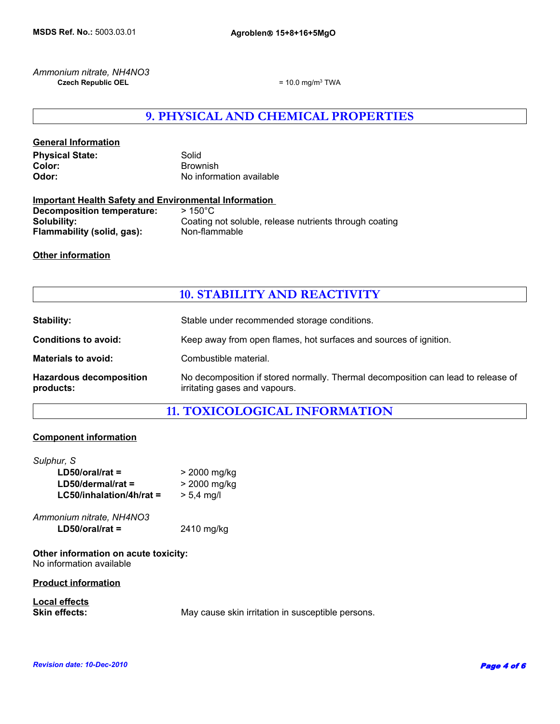**Czech Republic OEL**  $= 10.0 \text{ mg/m}^3 \text{ TWA}$ *Ammonium nitrate, NH4NO3*

## **9. PHYSICAL AND CHEMICAL PROPERTIES**

## **General Information**

| Solid                    |
|--------------------------|
| Brownish                 |
| No information available |
|                          |

| <b>Important Health Safety and Environmental Information</b> |                                                        |  |
|--------------------------------------------------------------|--------------------------------------------------------|--|
| Decomposition temperature:                                   | $>150^{\circ}$ C                                       |  |
| Solubility:                                                  | Coating not soluble, release nutrients through coating |  |
| Flammability (solid, gas):                                   | Non-flammable                                          |  |

**Other information**

# **10. STABILITY AND REACTIVITY**

| <b>Stability:</b>                           | Stable under recommended storage conditions.                                                                       |
|---------------------------------------------|--------------------------------------------------------------------------------------------------------------------|
| <b>Conditions to avoid:</b>                 | Keep away from open flames, hot surfaces and sources of ignition.                                                  |
| <b>Materials to avoid:</b>                  | Combustible material.                                                                                              |
| <b>Hazardous decomposition</b><br>products: | No decomposition if stored normally. Thermal decomposition can lead to release of<br>irritating gases and vapours. |

# **11. TOXICOLOGICAL INFORMATION**

## **Component information**

| Sulphur, S                 |                |
|----------------------------|----------------|
| $LD50/oral/rat =$          | $>$ 2000 mg/kg |
| $LD50/dermal/rat =$        | > 2000 mg/kg   |
| $LC50/inhalation/4h/rat =$ | $> 5.4$ mg/l   |
|                            |                |

*Ammonium nitrate, NH4NO3*  **LD50/oral/rat =** 2410 mg/kg

**Other information on acute toxicity:** No information available

**Product information**

**Local effects**

**Skin effects:** May cause skin irritation in susceptible persons.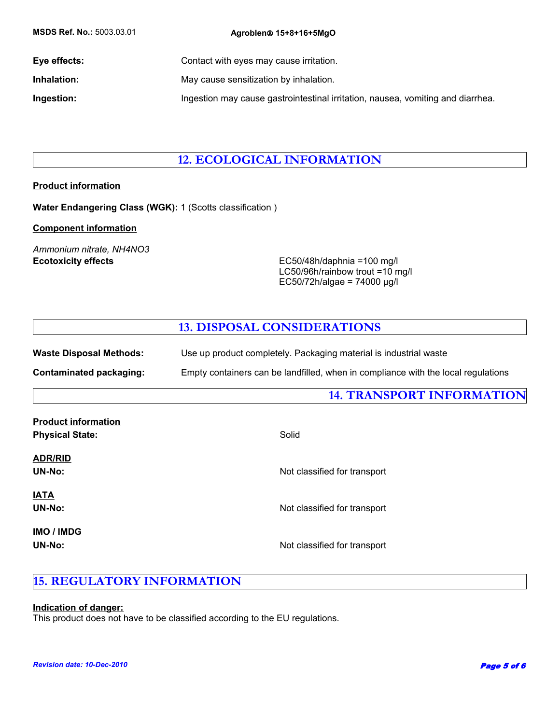| <b>MSDS Ref. No.: 5003.03.01</b> | Agroblen <sup>®</sup> 15+8+16+5MgO                                              |
|----------------------------------|---------------------------------------------------------------------------------|
| Eye effects:                     | Contact with eyes may cause irritation.                                         |
| Inhalation:                      | May cause sensitization by inhalation.                                          |
| Ingestion:                       | Ingestion may cause gastrointestinal irritation, nausea, vomiting and diarrhea. |

# **12. ECOLOGICAL INFORMATION**

## **Product information**

**Water Endangering Class (WGK):** 1 (Scotts classification )

## **Component information**

*Ammonium nitrate, NH4NO3*

**Ecotoxicity effects** EC50/48h/daphnia =100 mg/l LC50/96h/rainbow trout =10 mg/l EC50/72h/algae = 74000 µg/l

# **13. DISPOSAL CONSIDERATIONS**

| Waste Disposal Methods: | Use up product completely. Packaging material is industrial waste                 |
|-------------------------|-----------------------------------------------------------------------------------|
| Contaminated packaging: | Empty containers can be landfilled, when in compliance with the local regulations |

# **14. TRANSPORT INFORMATION**

**Product information Physical State:** Solid

| <b>ADR/RID</b><br>UN-No:     | Not classified for transport |
|------------------------------|------------------------------|
| <b>IATA</b><br><b>UN-No:</b> | Not classified for transport |
| IMO / IMDG<br>UN-No:         | Not classified for transport |

# **15. REGULATORY INFORMATION**

## **Indication of danger:**

This product does not have to be classified according to the EU regulations.